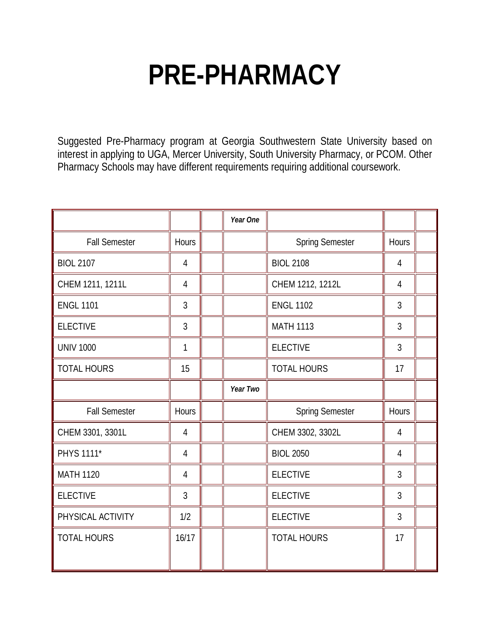## **PRE-PHARMACY**

Suggested Pre-Pharmacy program at Georgia Southwestern State University based on interest in applying to UGA, Mercer University, South University Pharmacy, or PCOM. Other Pharmacy Schools may have different requirements requiring additional coursework.

|                      |                | Year One |                        |                |  |
|----------------------|----------------|----------|------------------------|----------------|--|
| <b>Fall Semester</b> | Hours          |          | <b>Spring Semester</b> | Hours          |  |
| <b>BIOL 2107</b>     | $\overline{4}$ |          | <b>BIOL 2108</b>       | $\overline{4}$ |  |
| CHEM 1211, 1211L     | $\overline{4}$ |          | CHEM 1212, 1212L       | 4              |  |
| <b>ENGL 1101</b>     | 3              |          | <b>ENGL 1102</b>       | 3              |  |
| <b>ELECTIVE</b>      | $\overline{3}$ |          | <b>MATH 1113</b>       | $\mathfrak{Z}$ |  |
| <b>UNIV 1000</b>     | 1              |          | <b>ELECTIVE</b>        | 3              |  |
| <b>TOTAL HOURS</b>   | 15             |          | <b>TOTAL HOURS</b>     | 17             |  |
|                      |                | Year Two |                        |                |  |
| <b>Fall Semester</b> | Hours          |          | <b>Spring Semester</b> | Hours          |  |
| CHEM 3301, 3301L     | $\overline{4}$ |          | CHEM 3302, 3302L       | $\overline{4}$ |  |
| PHYS 1111*           | $\overline{4}$ |          | <b>BIOL 2050</b>       | $\overline{4}$ |  |
| <b>MATH 1120</b>     | $\overline{4}$ |          | <b>ELECTIVE</b>        | 3              |  |
| <b>ELECTIVE</b>      | $\overline{3}$ |          | <b>ELECTIVE</b>        | $\overline{3}$ |  |
| PHYSICAL ACTIVITY    | 1/2            |          | <b>ELECTIVE</b>        | 3              |  |
| <b>TOTAL HOURS</b>   | 16/17          |          | <b>TOTAL HOURS</b>     | 17             |  |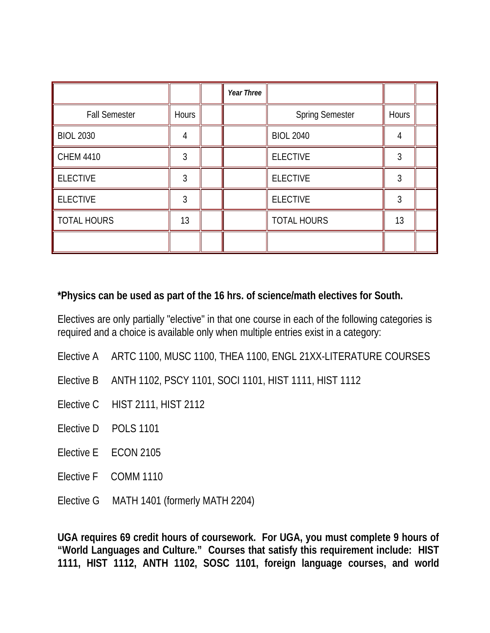|                      |              | Year Three |                        |       |  |
|----------------------|--------------|------------|------------------------|-------|--|
| <b>Fall Semester</b> | <b>Hours</b> |            | <b>Spring Semester</b> | Hours |  |
| <b>BIOL 2030</b>     | 4            |            | <b>BIOL 2040</b>       | 4     |  |
| <b>CHEM 4410</b>     | 3            |            | <b>ELECTIVE</b>        | 3     |  |
| <b>ELECTIVE</b>      | 3            |            | <b>ELECTIVE</b>        | 3     |  |
| <b>ELECTIVE</b>      | 3            |            | <b>ELECTIVE</b>        | 3     |  |
| <b>TOTAL HOURS</b>   | 13           |            | <b>TOTAL HOURS</b>     | 13    |  |
|                      |              |            |                        |       |  |

## **\*Physics can be used as part of the 16 hrs. of science/math electives for South.**

Electives are only partially "elective" in that one course in each of the following categories is required and a choice is available only when multiple entries exist in a category:

- Elective A ARTC 1100, MUSC 1100, THEA 1100, ENGL 21XX-LITERATURE COURSES
- Elective B ANTH 1102, PSCY 1101, SOCI 1101, HIST 1111, HIST 1112
- Elective C HIST 2111, HIST 2112
- Elective D POLS 1101
- Elective E ECON 2105
- Elective F COMM 1110
- Elective G MATH 1401 (formerly MATH 2204)

**UGA requires 69 credit hours of coursework. For UGA, you must complete 9 hours of "World Languages and Culture." Courses that satisfy this requirement include: HIST 1111, HIST 1112, ANTH 1102, SOSC 1101, foreign language courses, and world**